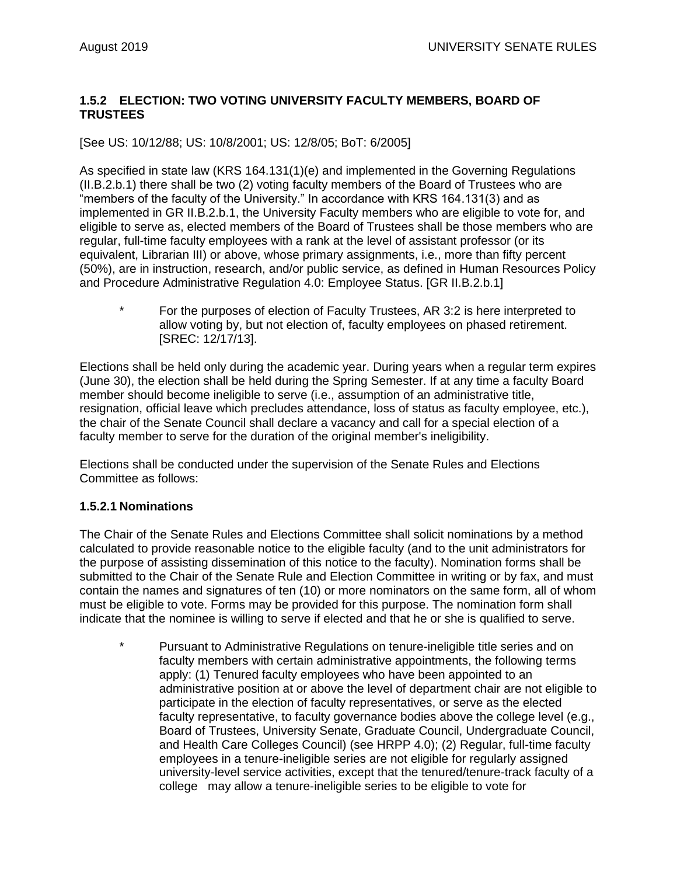#### **1.5.2 ELECTION: TWO VOTING UNIVERSITY FACULTY MEMBERS, BOARD OF TRUSTEES**

[See US: 10/12/88; US: 10/8/2001; US: 12/8/05; BoT: 6/2005]

As specified in state law (KRS 164.131(1)(e) and implemented in the Governing Regulations (II.B.2.b.1) there shall be two (2) voting faculty members of the Board of Trustees who are "members of the faculty of the University." In accordance with KRS 164.131(3) and as implemented in GR II.B.2.b.1, the University Faculty members who are eligible to vote for, and eligible to serve as, elected members of the Board of Trustees shall be those members who are regular, full-time faculty employees with a rank at the level of assistant professor (or its equivalent, Librarian III) or above, whose primary assignments, i.e., more than fifty percent (50%), are in instruction, research, and/or public service, as defined in Human Resources Policy and Procedure Administrative Regulation 4.0: Employee Status. [GR II.B.2.b.1]

\* For the purposes of election of Faculty Trustees, AR 3:2 is here interpreted to allow voting by, but not election of, faculty employees on phased retirement. [SREC: 12/17/13].

Elections shall be held only during the academic year. During years when a regular term expires (June 30), the election shall be held during the Spring Semester. If at any time a faculty Board member should become ineligible to serve (i.e., assumption of an administrative title, resignation, official leave which precludes attendance, loss of status as faculty employee, etc.), the chair of the Senate Council shall declare a vacancy and call for a special election of a faculty member to serve for the duration of the original member's ineligibility.

Elections shall be conducted under the supervision of the Senate Rules and Elections Committee as follows:

#### **1.5.2.1 Nominations**

The Chair of the Senate Rules and Elections Committee shall solicit nominations by a method calculated to provide reasonable notice to the eligible faculty (and to the unit administrators for the purpose of assisting dissemination of this notice to the faculty). Nomination forms shall be submitted to the Chair of the Senate Rule and Election Committee in writing or by fax, and must contain the names and signatures of ten (10) or more nominators on the same form, all of whom must be eligible to vote. Forms may be provided for this purpose. The nomination form shall indicate that the nominee is willing to serve if elected and that he or she is qualified to serve.

Pursuant to Administrative Regulations on tenure-ineligible title series and on faculty members with certain administrative appointments, the following terms apply: (1) Tenured faculty employees who have been appointed to an administrative position at or above the level of department chair are not eligible to participate in the election of faculty representatives, or serve as the elected faculty representative, to faculty governance bodies above the college level (e.g., Board of Trustees, University Senate, Graduate Council, Undergraduate Council, and Health Care Colleges Council) (see HRPP 4.0); (2) Regular, full-time faculty employees in a tenure-ineligible series are not eligible for regularly assigned university-level service activities, except that the tenured/tenure-track faculty of a college may allow a tenure-ineligible series to be eligible to vote for